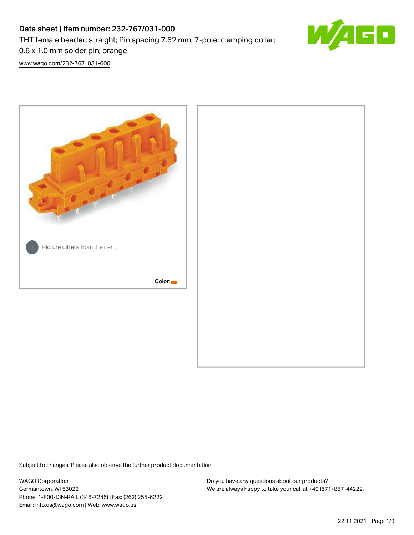# Data sheet | Item number: 232-767/031-000 THT female header; straight; Pin spacing 7.62 mm; 7-pole; clamping collar; 0.6 x 1.0 mm solder pin; orange



[www.wago.com/232-767\\_031-000](http://www.wago.com/232-767_031-000)



Subject to changes. Please also observe the further product documentation!

WAGO Corporation Germantown, WI 53022 Phone: 1-800-DIN-RAIL (346-7245) | Fax: (262) 255-6222 Email: info.us@wago.com | Web: www.wago.us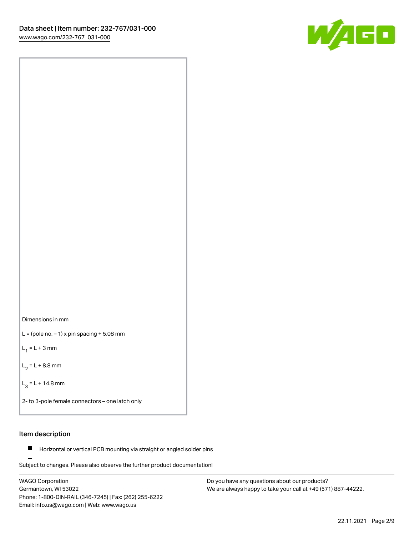



 $L =$  (pole no.  $-1$ ) x pin spacing  $+5.08$  mm

 $L_1 = L + 3$  mm

 $L_2 = L + 8.8$  mm

 $L_3 = L + 14.8$  mm

2- to 3-pole female connectors – one latch only

## Item description

**Horizontal or vertical PCB mounting via straight or angled solder pins** 

Subject to changes. Please also observe the further product documentation! For board-to-board and board-to-wire connections

WAGO Corporation Germantown, WI 53022 Phone: 1-800-DIN-RAIL (346-7245) | Fax: (262) 255-6222 Email: info.us@wago.com | Web: www.wago.us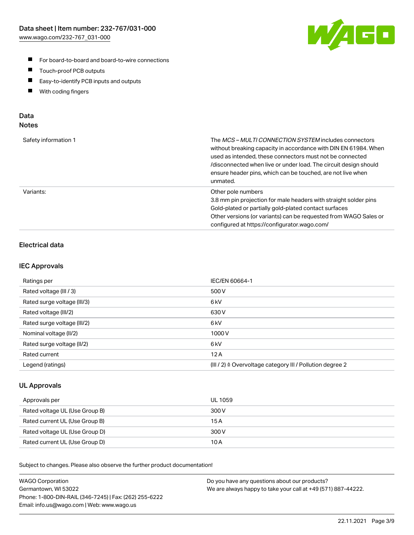

- For board-to-board and board-to-wire connections
- $\blacksquare$ Touch-proof PCB outputs
- $\blacksquare$ Easy-to-identify PCB inputs and outputs
- $\blacksquare$ With coding fingers

## Data **Notes**

| Safety information 1 | The <i>MCS – MULTI CONNECTION SYSTEM</i> includes connectors<br>without breaking capacity in accordance with DIN EN 61984. When<br>used as intended, these connectors must not be connected<br>/disconnected when live or under load. The circuit design should<br>ensure header pins, which can be touched, are not live when<br>unmated. |
|----------------------|--------------------------------------------------------------------------------------------------------------------------------------------------------------------------------------------------------------------------------------------------------------------------------------------------------------------------------------------|
| Variants:            | Other pole numbers<br>3.8 mm pin projection for male headers with straight solder pins<br>Gold-plated or partially gold-plated contact surfaces<br>Other versions (or variants) can be requested from WAGO Sales or<br>configured at https://configurator.wago.com/                                                                        |

# Electrical data

### IEC Approvals

| Ratings per                 | IEC/EN 60664-1                                                        |
|-----------------------------|-----------------------------------------------------------------------|
| Rated voltage (III / 3)     | 500 V                                                                 |
| Rated surge voltage (III/3) | 6kV                                                                   |
| Rated voltage (III/2)       | 630 V                                                                 |
| Rated surge voltage (III/2) | 6 <sub>kV</sub>                                                       |
| Nominal voltage (II/2)      | 1000 V                                                                |
| Rated surge voltage (II/2)  | 6 <sub>kV</sub>                                                       |
| Rated current               | 12A                                                                   |
| Legend (ratings)            | $(III / 2)$ $\triangle$ Overvoltage category III / Pollution degree 2 |

### UL Approvals

| Approvals per                  | UL 1059 |
|--------------------------------|---------|
| Rated voltage UL (Use Group B) | 300 V   |
| Rated current UL (Use Group B) | 15 A    |
| Rated voltage UL (Use Group D) | 300 V   |
| Rated current UL (Use Group D) | 10 A    |

| <b>WAGO Corporation</b>                                | Do you have any questions about our products?                 |
|--------------------------------------------------------|---------------------------------------------------------------|
| Germantown, WI 53022                                   | We are always happy to take your call at +49 (571) 887-44222. |
| Phone: 1-800-DIN-RAIL (346-7245)   Fax: (262) 255-6222 |                                                               |
| Email: info.us@wago.com   Web: www.wago.us             |                                                               |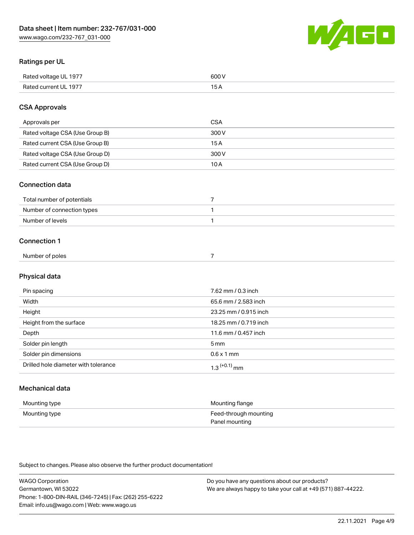

# Ratings per UL

| Rated voltage UL 1977  | coo 1 |
|------------------------|-------|
| <b>Rate</b><br>III 197 | ັ     |

## CSA Approvals

| Approvals per                   | CSA   |
|---------------------------------|-------|
| Rated voltage CSA (Use Group B) | 300 V |
| Rated current CSA (Use Group B) | 15 A  |
| Rated voltage CSA (Use Group D) | 300 V |
| Rated current CSA (Use Group D) | 10 A  |

### Connection data

| Total number of potentials |  |
|----------------------------|--|
| Number of connection types |  |
| Number of levels           |  |

### Connection 1

| Number of poles |  |
|-----------------|--|
|                 |  |

# Physical data

| Pin spacing                          | 7.62 mm / 0.3 inch    |
|--------------------------------------|-----------------------|
| Width                                | 65.6 mm / 2.583 inch  |
| Height                               | 23.25 mm / 0.915 inch |
| Height from the surface              | 18.25 mm / 0.719 inch |
| Depth                                | 11.6 mm / 0.457 inch  |
| Solder pin length                    | 5 <sub>mm</sub>       |
| Solder pin dimensions                | $0.6 \times 1$ mm     |
| Drilled hole diameter with tolerance | $1.3$ $(+0.1)$ mm     |

# Mechanical data

| Mounting type | Mounting flange                         |
|---------------|-----------------------------------------|
| Mounting type | Feed-through mounting<br>Panel mounting |

| <b>WAGO Corporation</b>                                | Do you have any questions about our products?                 |
|--------------------------------------------------------|---------------------------------------------------------------|
| Germantown, WI 53022                                   | We are always happy to take your call at +49 (571) 887-44222. |
| Phone: 1-800-DIN-RAIL (346-7245)   Fax: (262) 255-6222 |                                                               |
| Email: info.us@wago.com   Web: www.wago.us             |                                                               |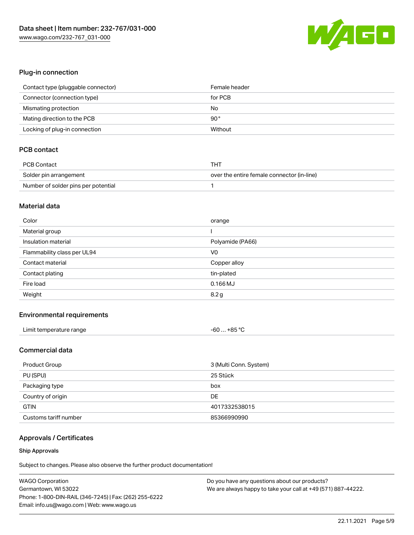

## Plug-in connection

| Contact type (pluggable connector) | Female header |
|------------------------------------|---------------|
| Connector (connection type)        | for PCB       |
| Mismating protection               | No            |
| Mating direction to the PCB        | $90^{\circ}$  |
| Locking of plug-in connection      | Without       |

# PCB contact

| PCB Contact                         | THT                                        |
|-------------------------------------|--------------------------------------------|
| Solder pin arrangement              | over the entire female connector (in-line) |
| Number of solder pins per potential |                                            |

#### Material data

| Color                       | orange           |
|-----------------------------|------------------|
| Material group              |                  |
| Insulation material         | Polyamide (PA66) |
| Flammability class per UL94 | V <sub>0</sub>   |
| Contact material            | Copper alloy     |
| Contact plating             | tin-plated       |
|                             |                  |
| Fire load                   | $0.166$ MJ       |

### Environmental requirements

| Limit temperature range | $-60+85 °C$ |
|-------------------------|-------------|
|-------------------------|-------------|

## Commercial data

| Product Group         | 3 (Multi Conn. System) |
|-----------------------|------------------------|
| PU (SPU)              | 25 Stück               |
| Packaging type        | box                    |
| Country of origin     | DE                     |
| <b>GTIN</b>           | 4017332538015          |
| Customs tariff number | 85366990990            |

# Approvals / Certificates

#### Ship Approvals

| <b>WAGO Corporation</b>                                | Do you have any questions about our products?                 |
|--------------------------------------------------------|---------------------------------------------------------------|
| Germantown, WI 53022                                   | We are always happy to take your call at +49 (571) 887-44222. |
| Phone: 1-800-DIN-RAIL (346-7245)   Fax: (262) 255-6222 |                                                               |
| Email: info.us@wago.com   Web: www.wago.us             |                                                               |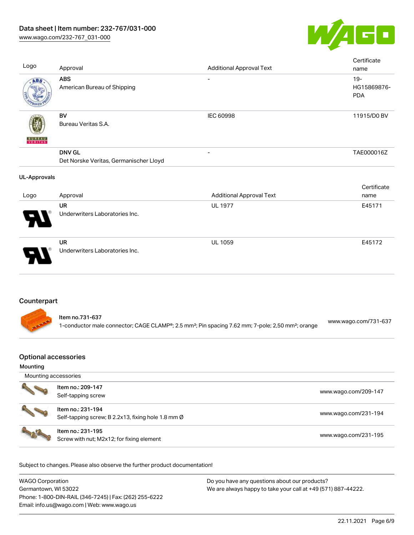

| Logo                | Approval                                                | <b>Additional Approval Text</b> | Certificate<br>name                 |
|---------------------|---------------------------------------------------------|---------------------------------|-------------------------------------|
| ABS                 | <b>ABS</b><br>American Bureau of Shipping               | $\overline{\phantom{a}}$        | $19 -$<br>HG15869876-<br><b>PDA</b> |
|                     | <b>BV</b><br>Bureau Veritas S.A.                        | IEC 60998                       | 11915/D0 BV                         |
|                     | <b>DNV GL</b><br>Det Norske Veritas, Germanischer Lloyd |                                 | TAE000016Z                          |
| <b>UL-Approvals</b> |                                                         |                                 |                                     |
|                     |                                                         |                                 | Certificate                         |
| Logo                | Approval                                                | <b>Additional Approval Text</b> | name                                |
|                     | <b>UR</b><br>Underwriters Laboratories Inc.             | <b>UL 1977</b>                  | E45171                              |
|                     | <b>UR</b><br>Underwriters Laboratories Inc.             | <b>UL 1059</b>                  | E45172                              |
|                     |                                                         |                                 |                                     |

# **Counterpart**

| Item no.731-637                                                                                                           | www.wago.com/731-637 |
|---------------------------------------------------------------------------------------------------------------------------|----------------------|
| 1-conductor male connector; CAGE CLAMP®; 2.5 mm <sup>2</sup> ; Pin spacing 7.62 mm; 7-pole; 2,50 mm <sup>2</sup> ; orange |                      |

| <b>Optional accessories</b> |
|-----------------------------|
|                             |
|                             |
|                             |

#### Mounting

| Mounting accessories |                                                                         |                      |  |
|----------------------|-------------------------------------------------------------------------|----------------------|--|
|                      | Item no.: 209-147<br>Self-tapping screw                                 | www.wago.com/209-147 |  |
|                      | Item no.: 231-194<br>Self-tapping screw; B 2.2x13, fixing hole 1.8 mm Ø | www.wago.com/231-194 |  |
|                      | Item no.: 231-195<br>Screw with nut; M2x12; for fixing element          | www.wago.com/231-195 |  |

| WAGO Corporation                                       | Do you have any questions about our products?                 |
|--------------------------------------------------------|---------------------------------------------------------------|
| Germantown, WI 53022                                   | We are always happy to take your call at +49 (571) 887-44222. |
| Phone: 1-800-DIN-RAIL (346-7245)   Fax: (262) 255-6222 |                                                               |
| Email: info.us@wago.com   Web: www.wago.us             |                                                               |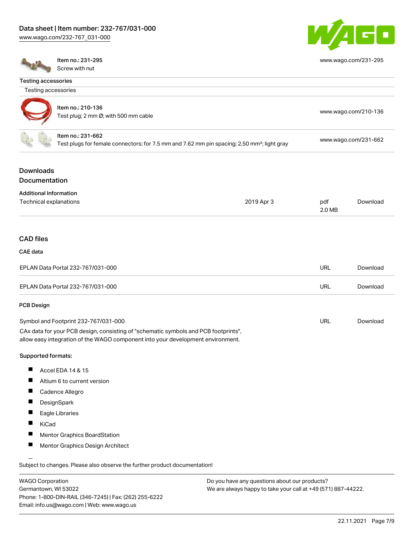[www.wago.com/232-767\\_031-000](http://www.wago.com/232-767_031-000)



[www.wago.com/231-295](http://www.wago.com/231-295)

Testing accessories

Item no.: 231-295 Screw with nut

Email: info.us@wago.com | Web: www.wago.us

| Testing accessories                                                            |                                                                                                                                                                        |                                                               |               |                      |
|--------------------------------------------------------------------------------|------------------------------------------------------------------------------------------------------------------------------------------------------------------------|---------------------------------------------------------------|---------------|----------------------|
|                                                                                | Item no.: 210-136<br>Test plug; 2 mm Ø; with 500 mm cable                                                                                                              |                                                               |               | www.wago.com/210-136 |
|                                                                                | Item no.: 231-662<br>Test plugs for female connectors; for 7.5 mm and 7.62 mm pin spacing; 2,50 mm <sup>2</sup> ; light gray                                           |                                                               |               | www.wago.com/231-662 |
| <b>Downloads</b>                                                               |                                                                                                                                                                        |                                                               |               |                      |
| Documentation                                                                  |                                                                                                                                                                        |                                                               |               |                      |
| <b>Additional Information</b>                                                  |                                                                                                                                                                        |                                                               |               |                      |
| Technical explanations                                                         |                                                                                                                                                                        | 2019 Apr 3                                                    | pdf<br>2.0 MB | Download             |
| <b>CAD files</b>                                                               |                                                                                                                                                                        |                                                               |               |                      |
| <b>CAE</b> data                                                                |                                                                                                                                                                        |                                                               |               |                      |
|                                                                                |                                                                                                                                                                        |                                                               |               |                      |
|                                                                                | EPLAN Data Portal 232-767/031-000                                                                                                                                      |                                                               | <b>URL</b>    | Download             |
|                                                                                | EPLAN Data Portal 232-767/031-000                                                                                                                                      |                                                               | <b>URL</b>    | Download             |
| <b>PCB Design</b>                                                              |                                                                                                                                                                        |                                                               |               |                      |
|                                                                                | Symbol and Footprint 232-767/031-000                                                                                                                                   |                                                               | URL           | Download             |
|                                                                                | CAx data for your PCB design, consisting of "schematic symbols and PCB footprints",<br>allow easy integration of the WAGO component into your development environment. |                                                               |               |                      |
| Supported formats:                                                             |                                                                                                                                                                        |                                                               |               |                      |
|                                                                                | Accel EDA 14 & 15                                                                                                                                                      |                                                               |               |                      |
| H                                                                              | Altium 6 to current version                                                                                                                                            |                                                               |               |                      |
|                                                                                | Cadence Allegro                                                                                                                                                        |                                                               |               |                      |
|                                                                                | DesignSpark                                                                                                                                                            |                                                               |               |                      |
|                                                                                | Eagle Libraries                                                                                                                                                        |                                                               |               |                      |
| H.<br><b>KiCad</b>                                                             |                                                                                                                                                                        |                                                               |               |                      |
|                                                                                | Mentor Graphics BoardStation                                                                                                                                           |                                                               |               |                      |
|                                                                                | Mentor Graphics Design Architect                                                                                                                                       |                                                               |               |                      |
|                                                                                | Subject to changes. Please also observe the further product documentation!                                                                                             |                                                               |               |                      |
| <b>WAGO Corporation</b>                                                        |                                                                                                                                                                        | Do you have any questions about our products?                 |               |                      |
| Germantown, WI 53022<br>Phone: 1-800-DIN-RAIL (346-7245)   Fax: (262) 255-6222 |                                                                                                                                                                        | We are always happy to take your call at +49 (571) 887-44222. |               |                      |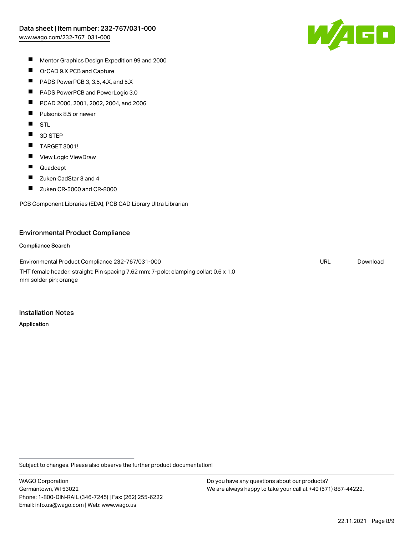

- $\blacksquare$ Mentor Graphics Design Expedition 99 and 2000
- $\blacksquare$ OrCAD 9.X PCB and Capture
- $\blacksquare$ PADS PowerPCB 3, 3.5, 4.X, and 5.X
- $\blacksquare$ PADS PowerPCB and PowerLogic 3.0
- $\blacksquare$ PCAD 2000, 2001, 2002, 2004, and 2006
- $\blacksquare$ Pulsonix 8.5 or newer
- $\blacksquare$ STL
- $\blacksquare$ 3D STEP
- $\blacksquare$ TARGET 3001!
- $\blacksquare$ View Logic ViewDraw
- $\blacksquare$ Quadcept
- $\blacksquare$ Zuken CadStar 3 and 4
- $\blacksquare$ Zuken CR-5000 and CR-8000

PCB Component Libraries (EDA), PCB CAD Library Ultra Librarian

#### Environmental Product Compliance

#### Compliance Search

Environmental Product Compliance 232-767/031-000 THT female header; straight; Pin spacing 7.62 mm; 7-pole; clamping collar; 0.6 x 1.0 mm solder pin; orange URL [Download](https://www.wago.com/global/d/ComplianceLinkMediaContainer_232-767_031-000)

#### Installation Notes

Application

Subject to changes. Please also observe the further product documentation!

WAGO Corporation Germantown, WI 53022 Phone: 1-800-DIN-RAIL (346-7245) | Fax: (262) 255-6222 Email: info.us@wago.com | Web: www.wago.us